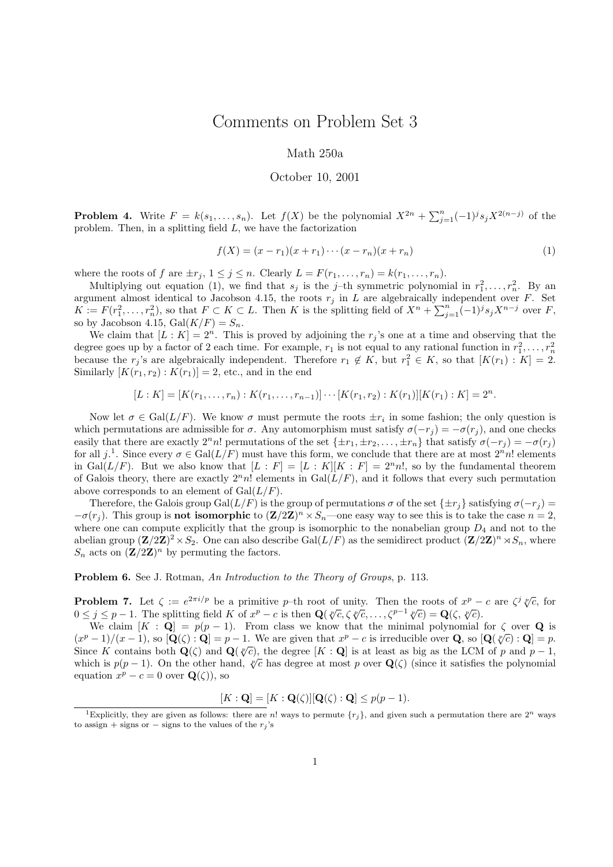## Comments on Problem Set 3

## Math 250a

## October 10, 2001

**Problem 4.** Write  $F = k(s_1, \ldots, s_n)$ . Let  $f(X)$  be the polynomial  $X^{2n} + \sum_{j=1}^n (-1)^j s_j X^{2(n-j)}$  of the problem. Then, in a splitting field L, we have the factorization

$$
f(X) = (x - r_1)(x + r_1) \cdots (x - r_n)(x + r_n)
$$
\n(1)

where the roots of f are  $\pm r_j$ ,  $1 \leq j \leq n$ . Clearly  $L = F(r_1, \ldots, r_n) = k(r_1, \ldots, r_n)$ .

Multiplying out equation (1), we find that  $s_j$  is the j-th symmetric polynomial in  $r_1^2, \ldots, r_n^2$ . By an argument almost identical to Jacobson 4.15, the roots  $r_j$  in L are algebraically independent over F. Set  $K := F(r_1^2, \ldots, r_n^2)$ , so that  $F \subset K \subset L$ . Then K is the splitting field of  $X^n + \sum_{j=1}^n (-1)^j s_j X^{n-j}$  over F, so by Jacobson 4.15,  $Gal(K/F) = S_n$ .

We claim that  $[L: K] = 2<sup>n</sup>$ . This is proved by adjoining the  $r<sub>j</sub>$ 's one at a time and observing that the degree goes up by a factor of 2 each time. For example,  $r_1$  is not equal to any rational function in  $r_1^2, \ldots, r_n^2$ because the  $r_j$ 's are algebraically independent. Therefore  $r_1 \notin K$ , but  $r_1^2 \in K$ , so that  $[K(r_1): K] = 2$ . Similarly  $[K(r_1, r_2) : K(r_1)] = 2$ , etc., and in the end

 $[L: K] = [K(r_1, \ldots, r_n) : K(r_1, \ldots, r_{n-1})] \cdots [K(r_1, r_2) : K(r_1)][K(r_1) : K] = 2^n.$ 

Now let  $\sigma \in \text{Gal}(L/F)$ . We know  $\sigma$  must permute the roots  $\pm r_i$  in some fashion; the only question is which permutations are admissible for  $\sigma$ . Any automorphism must satisfy  $\sigma(-r_i) = -\sigma(r_i)$ , and one checks easily that there are exactly  $2^n n!$  permutations of the set  $\{\pm r_1, \pm r_2, \ldots, \pm r_n\}$  that satisfy  $\sigma(-r_j) = -\sigma(r_j)$ for all  $j^1$ . Since every  $\sigma \in \text{Gal}(L/F)$  must have this form, we conclude that there are at most  $2^n n!$  elements in Gal( $L/F$ ). But we also know that  $[L : F] = [L : K][K : F] = 2<sup>n</sup>n!$ , so by the fundamental theorem of Galois theory, there are exactly  $2<sup>n</sup>n!$  elements in Gal $(L/F)$ , and it follows that every such permutation above corresponds to an element of  $Gal(L/F)$ .

Therefore, the Galois group Gal( $L/F$ ) is the group of permutations  $\sigma$  of the set  $\{\pm r_i\}$  satisfying  $\sigma(-r_i)$  $-\sigma(r_j)$ . This group is **not isomorphic** to  $(\mathbf{Z}/2\mathbf{Z})^n \times S_n$ —one easy way to see this is to take the case  $n=2$ , where one can compute explicitly that the group is isomorphic to the nonabelian group  $D_4$  and not to the abelian group  $(\mathbf{Z}/2\mathbf{Z})^2 \times S_2$ . One can also describe Gal $(L/F)$  as the semidirect product  $(\mathbf{Z}/2\mathbf{Z})^n \rtimes S_n$ , where  $S_n$  acts on  $(\mathbf{Z}/2\mathbf{Z})^n$  by permuting the factors.

Problem 6. See J. Rotman, An Introduction to the Theory of Groups, p. 113.

**Problem 7.** Let  $\zeta := e^{2\pi i/p}$  be a primitive *p*-th root of unity. Then the roots of  $x^p - c$  are  $\zeta^j \sqrt[p]{c}$ , for  $0 \le j \le n-1$ . The splitting field K of  $x^p - c$  is then  $O(\sqrt[p]{c} \zeta^p \zeta - \zeta^{p-1} \sqrt[p]{c}) - O(\zeta^p \zeta)$ **Problem 7.** Let  $\zeta := e^{2\pi i/p}$  be a primitive p-th root of unity. Then the roots of  $x^p - 0 \le j \le p - 1$ . The splitting field K of  $x^p - c$  is then  $\mathbf{Q}(\sqrt[p]{c}, \zeta \sqrt[p]{c}, \ldots, \zeta^{p-1} \sqrt[p]{c}) = \mathbf{Q}(\zeta, \sqrt[p]{c})$ .

We claim  $[K : \mathbf{Q}] = p(p-1)$ . From class we know that the minimal polynomial for  $\zeta$  over  $\mathbf{Q}$  is  $-1/(r-1)$  so  $[\mathbf{Q}(\zeta) : \mathbf{Q}] = n-1$ . We are given that  $x^p - \zeta$  is irreducible over  $\mathbf{Q}$  so  $[\mathbf{Q}(x)\zeta] = n$ .  $(x^p-1)/(x-1)$ , so  $[\mathbf{Q}(\zeta):\mathbf{Q}] = p-1$ . We are given that  $x^p - c$  is irreducible over **Q**, so  $[\mathbf{Q}(\sqrt[p]{c}):\mathbf{Q}] = p$ .<br>Since K contains both  $\mathbf{Q}(\zeta)$  and  $\mathbf{Q}(\sqrt[p]{c})$  the degree  $[K:\mathbf{Q}]$  is at least as big as the LC Since K contains both  $\mathbf{Q}(\zeta)$  and  $\mathbf{Q}(\sqrt[p]{c})$ , the degree  $[K : \mathbf{Q}]$  is at least as big as the LCM of p and  $p-1$ , Since K contains both  $\mathbf{Q}(\zeta)$  and  $\mathbf{Q}(\psi c)$ , the degree  $[K : \mathbf{Q}]$  is at least as big as the LCM of p and  $p-1$ , which is  $p(p-1)$ . On the other hand,  $\sqrt[p]{c}$  has degree at most p over  $\mathbf{Q}(\zeta)$  (since it satis equation  $x^p - c = 0$  over  $\mathbf{Q}(\zeta)$ , so

$$
[K:\mathbf{Q}] = [K:\mathbf{Q}(\zeta)][\mathbf{Q}(\zeta):\mathbf{Q}] \le p(p-1).
$$

<sup>&</sup>lt;sup>1</sup>Explicitly, they are given as follows: there are n! ways to permute  $\{r_j\}$ , and given such a permutation there are  $2^n$  ways to assign + signs or − signs to the values of the  $r_j$ 's